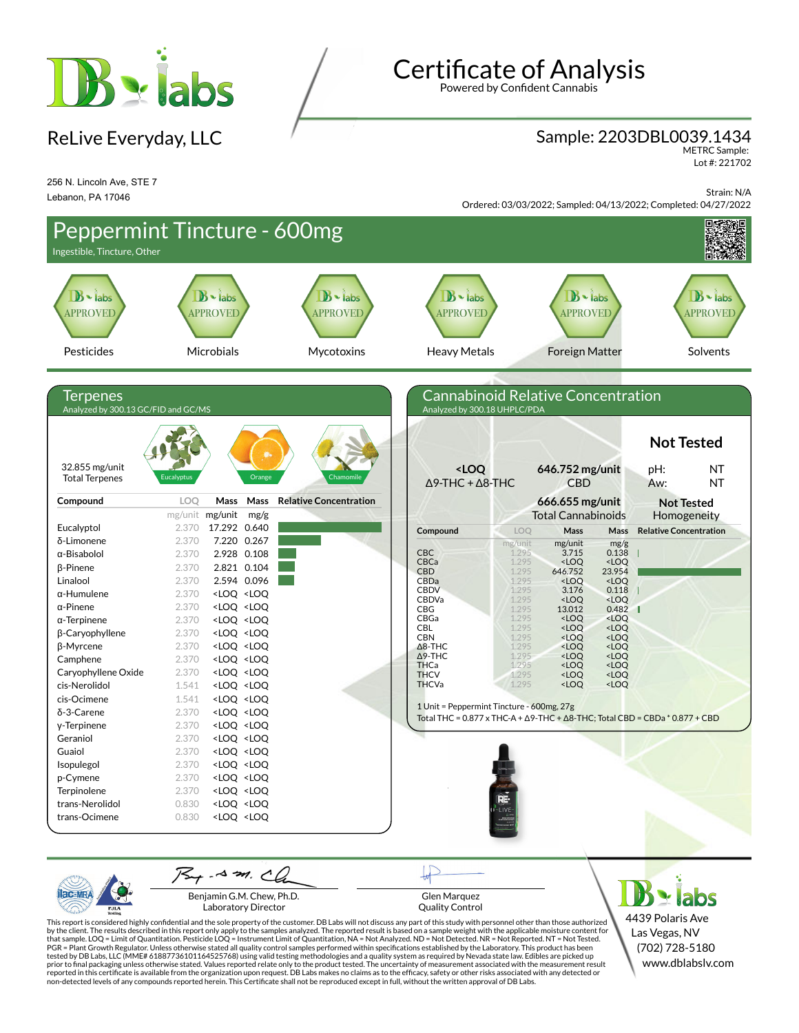

ReLive Everyday, LLC

**Certificate of Analysis** 

Powered by Confident Cannabis

## Sample: 2203DBL0039.1434

METRC Sample: Lot #: 221702

256 N. Lincoln Ave, STE 7 Lebanon, PA 17046

Strain: N/A Ordered: 03/03/2022; Sampled: 04/13/2022; Completed: 04/27/2022



Benjamin G.M. Chew, Ph.D. Laboratory Director

PJL/

Glen Marquez Quality Control

4439 Polaris Ave Las Vegas, NV (702) 728-5180 www.dblabslv.com

This report is considered highly confidential and the sole property of the customer. DB Labs will not discuss any part of this study with personnel other than those authorized<br>by the client. The results described in this r tested by DB Labs, LLC (MME# 61887736101164525768) using valid testing methodologies and a quality system as required by Nevada state law. Edibles are picked up<br>prior to final packaging unless otherwise stated. Values repo